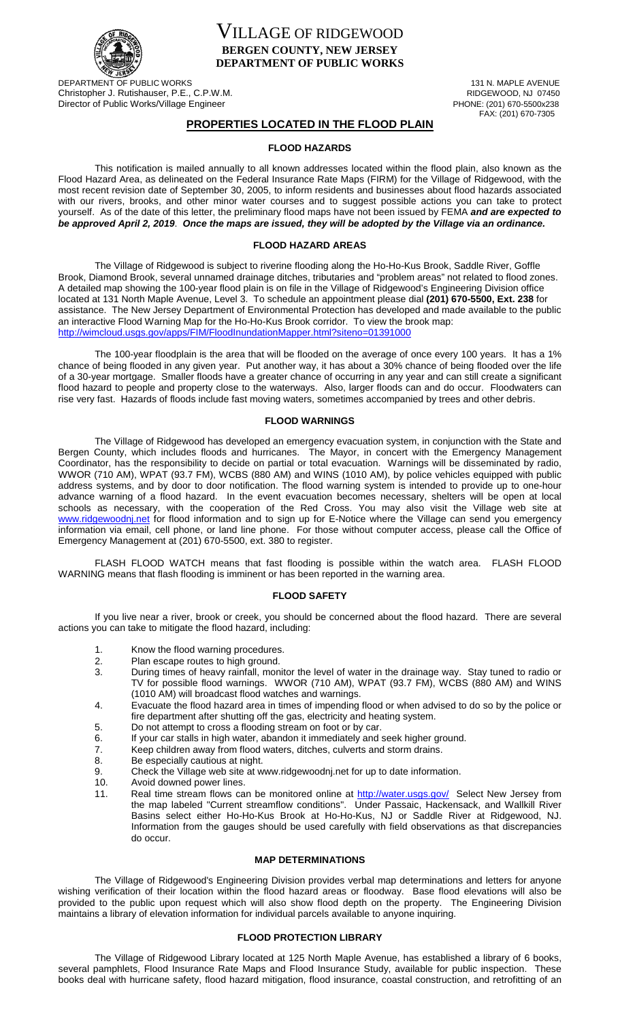

VILLAGE OF RIDGEWOOD **BERGEN COUNTY, NEW JERSEY DEPARTMENT OF PUBLIC WORKS**

DEPARTMENT OF PUBLIC WORKS<br>
Christopher J. Rutishauser. P.F., C.P.W.M.<br>
Christopher J. Rutishauser. P.F., C.P.W.M. Christopher J. Rutishauser, P.E., C.P.W.M.<br>
Director of Public Works/Village Engineer<br>
PHONE: (201) 670-5500x238 Director of Public Works/Village Engineer

FAX: (201) 670-7305

# **PROPERTIES LOCATED IN THE FLOOD PLAIN**

# **FLOOD HAZARDS**

This notification is mailed annually to all known addresses located within the flood plain, also known as the Flood Hazard Area, as delineated on the Federal Insurance Rate Maps (FIRM) for the Village of Ridgewood, with the most recent revision date of September 30, 2005, to inform residents and businesses about flood hazards associated with our rivers, brooks, and other minor water courses and to suggest possible actions you can take to protect yourself. As of the date of this letter, the preliminary flood maps have not been issued by FEMA *and are expected to be approved April 2, 2019*. *Once the maps are issued, they will be adopted by the Village via an ordinance.*

## **FLOOD HAZARD AREAS**

The Village of Ridgewood is subject to riverine flooding along the Ho-Ho-Kus Brook, Saddle River, Goffle Brook, Diamond Brook, several unnamed drainage ditches, tributaries and "problem areas" not related to flood zones. A detailed map showing the 100-year flood plain is on file in the Village of Ridgewood's Engineering Division office located at 131 North Maple Avenue, Level 3. To schedule an appointment please dial **(201) 670-5500, Ext. 238** for assistance. The New Jersey Department of Environmental Protection has developed and made available to the public an interactive Flood Warning Map for the Ho-Ho-Kus Brook corridor. To view the brook map: <http://wimcloud.usgs.gov/apps/FIM/FloodInundationMapper.html?siteno=01391000>

The 100-year floodplain is the area that will be flooded on the average of once every 100 years. It has a 1% chance of being flooded in any given year. Put another way, it has about a 30% chance of being flooded over the life of a 30-year mortgage. Smaller floods have a greater chance of occurring in any year and can still create a significant flood hazard to people and property close to the waterways. Also, larger floods can and do occur. Floodwaters can rise very fast. Hazards of floods include fast moving waters, sometimes accompanied by trees and other debris.

### **FLOOD WARNINGS**

The Village of Ridgewood has developed an emergency evacuation system, in conjunction with the State and Bergen County, which includes floods and hurricanes. The Mayor, in concert with the Emergency Management Coordinator, has the responsibility to decide on partial or total evacuation. Warnings will be disseminated by radio, WWOR (710 AM), WPAT (93.7 FM), WCBS (880 AM) and WINS (1010 AM), by police vehicles equipped with public address systems, and by door to door notification. The flood warning system is intended to provide up to one-hour advance warning of a flood hazard. In the event evacuation becomes necessary, shelters will be open at local schools as necessary, with the cooperation of the Red Cross. You may also visit the Village web site at [www.ridgewoodnj.net](http://www.ridgewoodnj.net/) for flood information and to sign up for E-Notice where the Village can send you emergency information via email, cell phone, or land line phone. For those without computer access, please call the Office of Emergency Management at (201) 670-5500, ext. 380 to register.

FLASH FLOOD WATCH means that fast flooding is possible within the watch area. FLASH FLOOD WARNING means that flash flooding is imminent or has been reported in the warning area.

# **FLOOD SAFETY**

If you live near a river, brook or creek, you should be concerned about the flood hazard. There are several actions you can take to mitigate the flood hazard, including:

- 1. Know the flood warning procedures.
- 2. Plan escape routes to high ground.<br>3. During times of heavy rainfall, moni
- 3. During times of heavy rainfall, monitor the level of water in the drainage way. Stay tuned to radio or TV for possible flood warnings. WWOR (710 AM), WPAT (93.7 FM), WCBS (880 AM) and WINS (1010 AM) will broadcast flood watches and warnings.
- 4. Evacuate the flood hazard area in times of impending flood or when advised to do so by the police or fire department after shutting off the gas, electricity and heating system.
- 5. Do not attempt to cross a flooding stream on foot or by car.<br>6. If your car stalls in high water, abandon it immediately and s
- 6. If your car stalls in high water, abandon it immediately and seek higher ground.<br>7. Keep children away from flood waters, ditches, culverts and storm drains.
- 7. Keep children away from flood waters, ditches, culverts and storm drains.<br>8 Be especially cautious at night
- Be especially cautious at night.
- 9. Check the Village web site at www.ridgewoodnj.net for up to date information.<br>10. Avoid downed power lines.
- 10. Avoid downed power lines.<br>11. Real time stream flows ca
- Real time stream flows can be monitored online at<http://water.usgs.gov/>Select New Jersey from the map labeled "Current streamflow conditions". Under Passaic, Hackensack, and Wallkill River Basins select either Ho-Ho-Kus Brook at Ho-Ho-Kus, NJ or Saddle River at Ridgewood, NJ. Information from the gauges should be used carefully with field observations as that discrepancies do occur.

### **MAP DETERMINATIONS**

The Village of Ridgewood's Engineering Division provides verbal map determinations and letters for anyone wishing verification of their location within the flood hazard areas or floodway. Base flood elevations will also be provided to the public upon request which will also show flood depth on the property. The Engineering Division maintains a library of elevation information for individual parcels available to anyone inquiring.

### **FLOOD PROTECTION LIBRARY**

The Village of Ridgewood Library located at 125 North Maple Avenue, has established a library of 6 books, several pamphlets, Flood Insurance Rate Maps and Flood Insurance Study, available for public inspection. These books deal with hurricane safety, flood hazard mitigation, flood insurance, coastal construction, and retrofitting of an